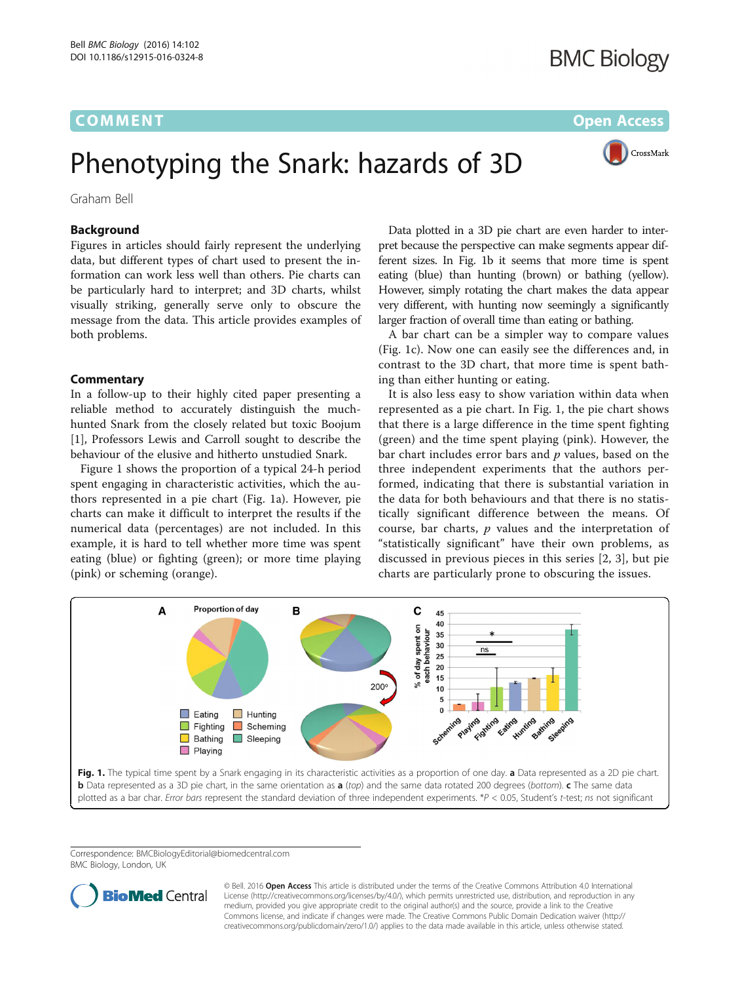## **COMMENT COMMENT COMMENT**

# CrossMark

## Phenotyping the Snark: hazards of 3D

Graham Bell

## Background

Figures in articles should fairly represent the underlying data, but different types of chart used to present the information can work less well than others. Pie charts can be particularly hard to interpret; and 3D charts, whilst visually striking, generally serve only to obscure the message from the data. This article provides examples of both problems.

### **Commentary**

In a follow-up to their highly cited paper presenting a reliable method to accurately distinguish the muchhunted Snark from the closely related but toxic Boojum [[1\]](#page-1-0), Professors Lewis and Carroll sought to describe the behaviour of the elusive and hitherto unstudied Snark.

Figure 1 shows the proportion of a typical 24-h period spent engaging in characteristic activities, which the authors represented in a pie chart (Fig. 1a). However, pie charts can make it difficult to interpret the results if the numerical data (percentages) are not included. In this example, it is hard to tell whether more time was spent eating (blue) or fighting (green); or more time playing (pink) or scheming (orange).

Data plotted in a 3D pie chart are even harder to interpret because the perspective can make segments appear different sizes. In Fig. 1b it seems that more time is spent eating (blue) than hunting (brown) or bathing (yellow). However, simply rotating the chart makes the data appear very different, with hunting now seemingly a significantly larger fraction of overall time than eating or bathing.

A bar chart can be a simpler way to compare values (Fig. 1c). Now one can easily see the differences and, in contrast to the 3D chart, that more time is spent bathing than either hunting or eating.

It is also less easy to show variation within data when represented as a pie chart. In Fig. 1, the pie chart shows that there is a large difference in the time spent fighting (green) and the time spent playing (pink). However, the bar chart includes error bars and  $p$  values, based on the three independent experiments that the authors performed, indicating that there is substantial variation in the data for both behaviours and that there is no statistically significant difference between the means. Of course, bar charts,  $p$  values and the interpretation of "statistically significant" have their own problems, as discussed in previous pieces in this series [[2](#page-1-0), [3](#page-1-0)], but pie charts are particularly prone to obscuring the issues.



Correspondence: [BMCBiologyEditorial@biomedcentral.com](mailto:BMCBiologyEditorial@biomedcentral.com) BMC Biology, London, UK



© Bell. 2016 Open Access This article is distributed under the terms of the Creative Commons Attribution 4.0 International License ([http://creativecommons.org/licenses/by/4.0/\)](http://creativecommons.org/licenses/by/4.0/), which permits unrestricted use, distribution, and reproduction in any medium, provided you give appropriate credit to the original author(s) and the source, provide a link to the Creative Commons license, and indicate if changes were made. The Creative Commons Public Domain Dedication waiver ([http://](http://creativecommons.org/publicdomain/zero/1.0/) [creativecommons.org/publicdomain/zero/1.0/\)](http://creativecommons.org/publicdomain/zero/1.0/) applies to the data made available in this article, unless otherwise stated.